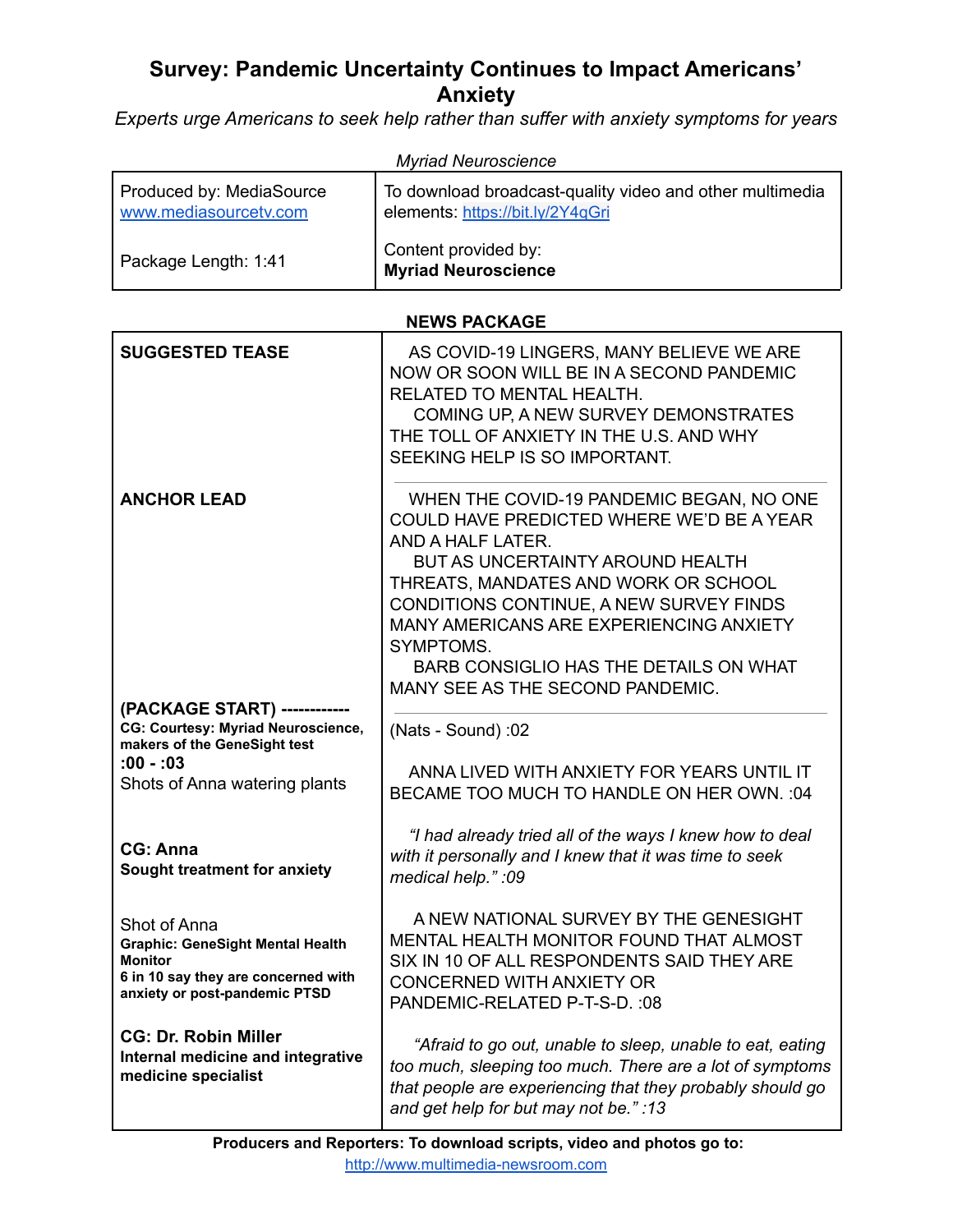# **Survey: Pandemic Uncertainty Continues to Impact Americans' Anxiety**

*Experts urge Americans to seek help rather than suffer with anxiety symptoms for years*

| <b>Myriad Neuroscience</b>                        |                                                                                              |  |  |
|---------------------------------------------------|----------------------------------------------------------------------------------------------|--|--|
| Produced by: MediaSource<br>www.mediasourcetv.com | To download broadcast-quality video and other multimedia<br>elements: https://bit.ly/2Y4qGri |  |  |
| Package Length: 1:41                              | Content provided by:<br><b>Myriad Neuroscience</b>                                           |  |  |

## **NEWS PACKAGE**

| <b>SUGGESTED TEASE</b>                                                                                                                            | AS COVID-19 LINGERS, MANY BELIEVE WE ARE<br>NOW OR SOON WILL BE IN A SECOND PANDEMIC<br>RELATED TO MENTAL HEALTH.<br>COMING UP, A NEW SURVEY DEMONSTRATES<br>THE TOLL OF ANXIETY IN THE U.S. AND WHY<br>SEEKING HELP IS SO IMPORTANT.                                                                                                                                   |
|---------------------------------------------------------------------------------------------------------------------------------------------------|-------------------------------------------------------------------------------------------------------------------------------------------------------------------------------------------------------------------------------------------------------------------------------------------------------------------------------------------------------------------------|
| <b>ANCHOR LEAD</b>                                                                                                                                | WHEN THE COVID-19 PANDEMIC BEGAN, NO ONE<br>COULD HAVE PREDICTED WHERE WE'D BE A YEAR<br>AND A HALF LATER.<br>BUT AS UNCERTAINTY AROUND HEALTH<br>THREATS, MANDATES AND WORK OR SCHOOL<br>CONDITIONS CONTINUE, A NEW SURVEY FINDS<br>MANY AMERICANS ARE EXPERIENCING ANXIETY<br>SYMPTOMS.<br>BARB CONSIGLIO HAS THE DETAILS ON WHAT<br>MANY SEE AS THE SECOND PANDEMIC. |
| (PACKAGE START) ------------                                                                                                                      |                                                                                                                                                                                                                                                                                                                                                                         |
| <b>CG: Courtesy: Myriad Neuroscience,</b><br>makers of the GeneSight test                                                                         | (Nats - Sound):02                                                                                                                                                                                                                                                                                                                                                       |
| $:00 - 03$<br>Shots of Anna watering plants                                                                                                       | ANNA LIVED WITH ANXIETY FOR YEARS UNTIL IT<br>BECAME TOO MUCH TO HANDLE ON HER OWN. : 04                                                                                                                                                                                                                                                                                |
| CG: Anna<br>Sought treatment for anxiety                                                                                                          | "I had already tried all of the ways I knew how to deal<br>with it personally and I knew that it was time to seek<br>medical help.":09                                                                                                                                                                                                                                  |
| Shot of Anna<br><b>Graphic: GeneSight Mental Health</b><br><b>Monitor</b><br>6 in 10 say they are concerned with<br>anxiety or post-pandemic PTSD | A NEW NATIONAL SURVEY BY THE GENESIGHT<br>MENTAL HEALTH MONITOR FOUND THAT ALMOST<br>SIX IN 10 OF ALL RESPONDENTS SAID THEY ARE<br><b>CONCERNED WITH ANXIETY OR</b><br>PANDEMIC-RELATED P-T-S-D. : 08                                                                                                                                                                   |
| <b>CG: Dr. Robin Miller</b><br>Internal medicine and integrative<br>medicine specialist                                                           | "Afraid to go out, unable to sleep, unable to eat, eating<br>too much, sleeping too much. There are a lot of symptoms<br>that people are experiencing that they probably should go<br>and get help for but may not be.":13                                                                                                                                              |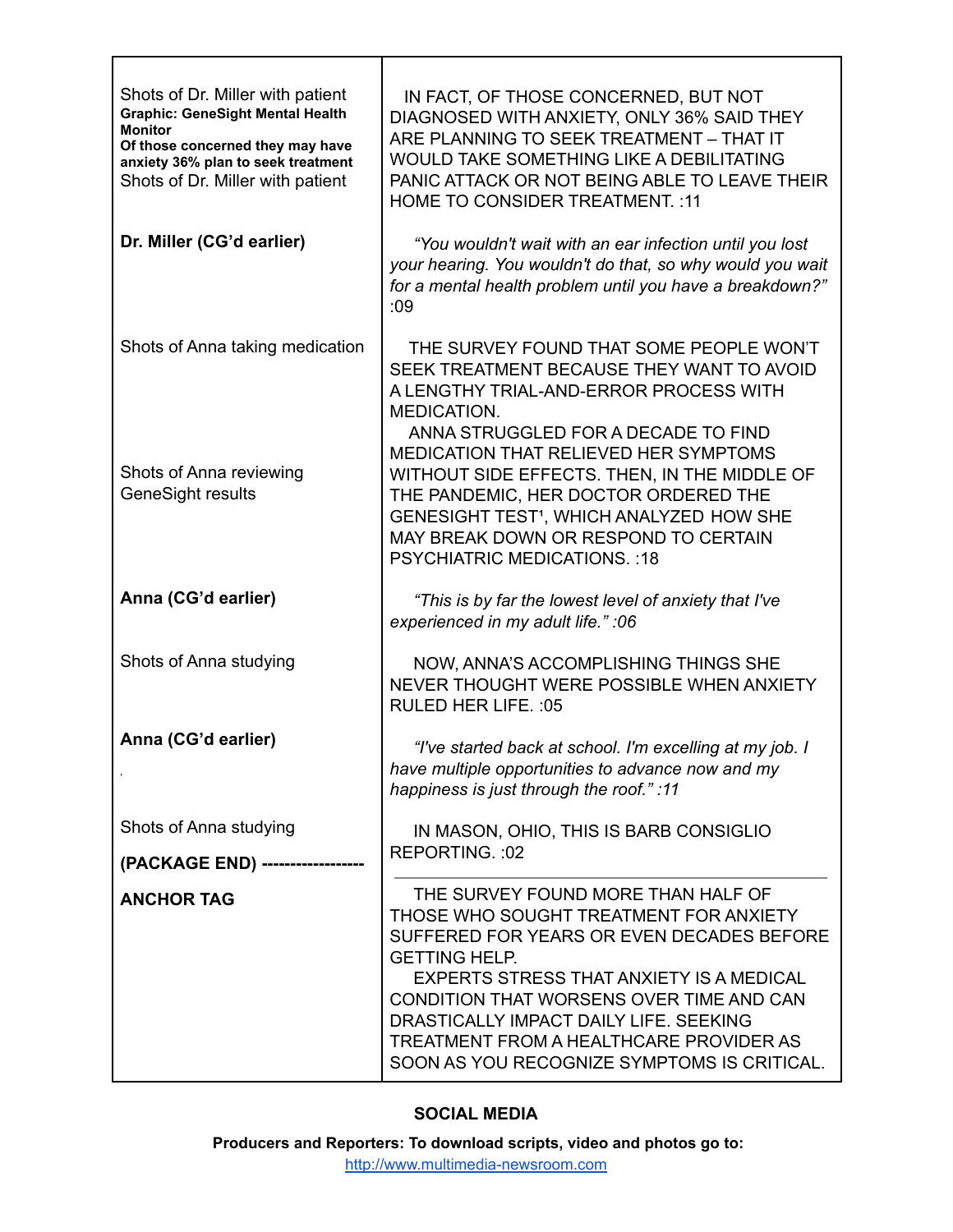| Shots of Dr. Miller with patient<br><b>Graphic: GeneSight Mental Health</b><br><b>Monitor</b><br>Of those concerned they may have<br>anxiety 36% plan to seek treatment<br>Shots of Dr. Miller with patient | IN FACT, OF THOSE CONCERNED, BUT NOT<br>DIAGNOSED WITH ANXIETY, ONLY 36% SAID THEY<br>ARE PLANNING TO SEEK TREATMENT - THAT IT<br>WOULD TAKE SOMETHING LIKE A DEBILITATING<br>PANIC ATTACK OR NOT BEING ABLE TO LEAVE THEIR<br><b>HOME TO CONSIDER TREATMENT.: 11</b>                                                                                                                |
|-------------------------------------------------------------------------------------------------------------------------------------------------------------------------------------------------------------|--------------------------------------------------------------------------------------------------------------------------------------------------------------------------------------------------------------------------------------------------------------------------------------------------------------------------------------------------------------------------------------|
| Dr. Miller (CG'd earlier)                                                                                                                                                                                   | "You wouldn't wait with an ear infection until you lost<br>your hearing. You wouldn't do that, so why would you wait<br>for a mental health problem until you have a breakdown?"<br>:09                                                                                                                                                                                              |
| Shots of Anna taking medication<br>Shots of Anna reviewing<br><b>GeneSight results</b>                                                                                                                      | THE SURVEY FOUND THAT SOME PEOPLE WON'T<br>SEEK TREATMENT BECAUSE THEY WANT TO AVOID<br>A LENGTHY TRIAL-AND-ERROR PROCESS WITH<br>MEDICATION.<br>ANNA STRUGGLED FOR A DECADE TO FIND<br><b>MEDICATION THAT RELIEVED HER SYMPTOMS</b><br>WITHOUT SIDE EFFECTS. THEN, IN THE MIDDLE OF<br>THE PANDEMIC, HER DOCTOR ORDERED THE<br>GENESIGHT TEST <sup>1</sup> , WHICH ANALYZED HOW SHE |
|                                                                                                                                                                                                             | MAY BREAK DOWN OR RESPOND TO CERTAIN<br><b>PSYCHIATRIC MEDICATIONS.: 18</b>                                                                                                                                                                                                                                                                                                          |
| Anna (CG'd earlier)                                                                                                                                                                                         | "This is by far the lowest level of anxiety that I've<br>experienced in my adult life." : 06                                                                                                                                                                                                                                                                                         |
| Shots of Anna studying                                                                                                                                                                                      | NOW, ANNA'S ACCOMPLISHING THINGS SHE<br>NEVER THOUGHT WERE POSSIBLE WHEN ANXIETY<br>RULED HER LIFE. : 05                                                                                                                                                                                                                                                                             |
| Anna (CG'd earlier)                                                                                                                                                                                         | "I've started back at school. I'm excelling at my job. I<br>have multiple opportunities to advance now and my<br>happiness is just through the roof.":11                                                                                                                                                                                                                             |
| Shots of Anna studying                                                                                                                                                                                      | IN MASON, OHIO, THIS IS BARB CONSIGLIO<br>REPORTING.: 02                                                                                                                                                                                                                                                                                                                             |
| (PACKAGE END) --------------                                                                                                                                                                                |                                                                                                                                                                                                                                                                                                                                                                                      |
| <b>ANCHOR TAG</b>                                                                                                                                                                                           | THE SURVEY FOUND MORE THAN HALF OF<br>THOSE WHO SOUGHT TREATMENT FOR ANXIETY<br>SUFFERED FOR YEARS OR EVEN DECADES BEFORE<br><b>GETTING HELP.</b><br>EXPERTS STRESS THAT ANXIETY IS A MEDICAL<br>CONDITION THAT WORSENS OVER TIME AND CAN<br>DRASTICALLY IMPACT DAILY LIFE. SEEKING<br>TREATMENT FROM A HEALTHCARE PROVIDER AS<br>SOON AS YOU RECOGNIZE SYMPTOMS IS CRITICAL.        |

⊤

Г

## **SOCIAL MEDIA**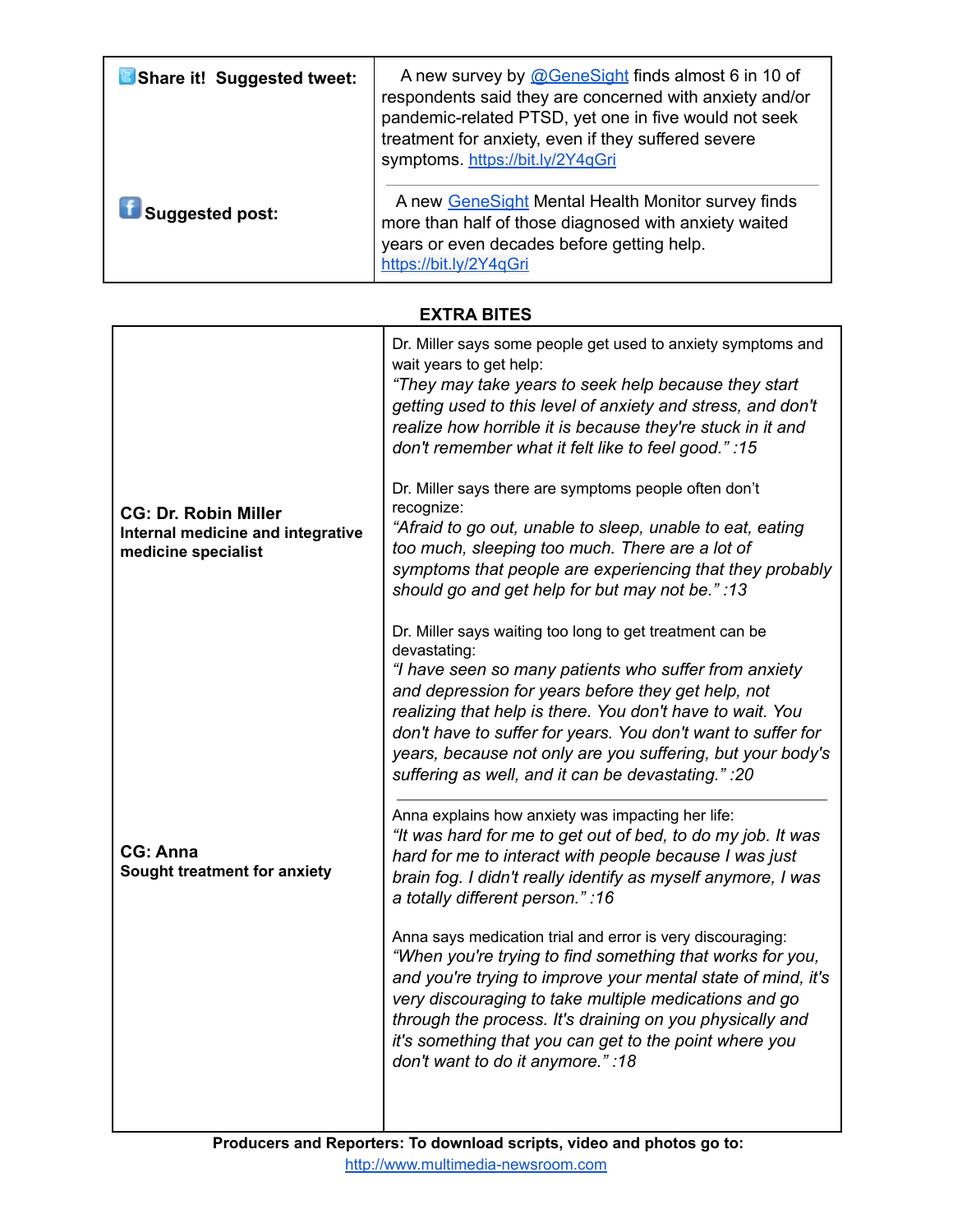| Share it! Suggested tweet: | A new survey by @GeneSight finds almost 6 in 10 of<br>respondents said they are concerned with anxiety and/or<br>pandemic-related PTSD, yet one in five would not seek<br>treatment for anxiety, even if they suffered severe<br>symptoms. https://bit.ly/2Y4qGri |
|----------------------------|-------------------------------------------------------------------------------------------------------------------------------------------------------------------------------------------------------------------------------------------------------------------|
| <b>Suggested post:</b>     | A new GeneSight Mental Health Monitor survey finds<br>more than half of those diagnosed with anxiety waited<br>years or even decades before getting help.<br>https://bit.ly/2Y4qGri                                                                               |

## **EXTRA BITES**

|                                                                                         | Dr. Miller says some people get used to anxiety symptoms and<br>wait years to get help:<br>"They may take years to seek help because they start<br>getting used to this level of anxiety and stress, and don't<br>realize how horrible it is because they're stuck in it and<br>don't remember what it felt like to feel good." :15                                                                                                       |
|-----------------------------------------------------------------------------------------|-------------------------------------------------------------------------------------------------------------------------------------------------------------------------------------------------------------------------------------------------------------------------------------------------------------------------------------------------------------------------------------------------------------------------------------------|
| <b>CG: Dr. Robin Miller</b><br>Internal medicine and integrative<br>medicine specialist | Dr. Miller says there are symptoms people often don't<br>recognize:<br>"Afraid to go out, unable to sleep, unable to eat, eating<br>too much, sleeping too much. There are a lot of<br>symptoms that people are experiencing that they probably<br>should go and get help for but may not be." :13                                                                                                                                        |
|                                                                                         | Dr. Miller says waiting too long to get treatment can be<br>devastating:<br>"I have seen so many patients who suffer from anxiety<br>and depression for years before they get help, not<br>realizing that help is there. You don't have to wait. You<br>don't have to suffer for years. You don't want to suffer for<br>years, because not only are you suffering, but your body's<br>suffering as well, and it can be devastating." : 20 |
| CG: Anna<br>Sought treatment for anxiety                                                | Anna explains how anxiety was impacting her life:<br>"It was hard for me to get out of bed, to do my job. It was<br>hard for me to interact with people because I was just<br>brain fog. I didn't really identify as myself anymore, I was<br>a totally different person.": 16                                                                                                                                                            |
|                                                                                         | Anna says medication trial and error is very discouraging:<br>"When you're trying to find something that works for you,<br>and you're trying to improve your mental state of mind, it's<br>very discouraging to take multiple medications and go<br>through the process. It's draining on you physically and<br>it's something that you can get to the point where you<br>don't want to do it anymore.":18                                |
|                                                                                         |                                                                                                                                                                                                                                                                                                                                                                                                                                           |